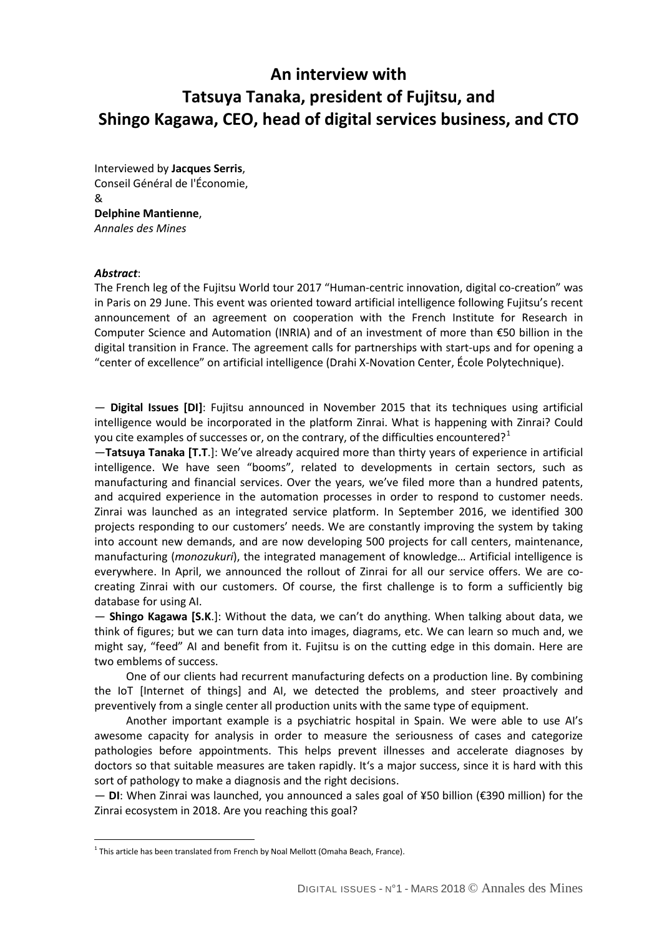## **An interview with Tatsuya Tanaka, president of Fujitsu, and Shingo Kagawa, CEO, head of digital services business, and CTO**

Interviewed by **Jacques Serris**, Conseil Général de l'Économie, & **Delphine Mantienne**, *Annales des Mines*

## *Abstract*:

 $\overline{a}$ 

The French leg of the Fujitsu World tour 2017 "Human-centric innovation, digital co-creation" was in Paris on 29 June. This event was oriented toward artificial intelligence following Fujitsu's recent announcement of an agreement on cooperation with the French Institute for Research in Computer Science and Automation (INRIA) and of an investment of more than €50 billion in the digital transition in France. The agreement calls for partnerships with start-ups and for opening a "center of excellence" on artificial intelligence (Drahi X-Novation Center, École Polytechnique).

— **Digital Issues [DI]**: Fujitsu announced in November 2015 that its techniques using artificial intelligence would be incorporated in the platform Zinrai. What is happening with Zinrai? Could you cite examples of successes or, on the contrary, of the difficulties encountered?<sup>[1](#page-0-0)</sup>

—**Tatsuya Tanaka [T.T**.]: We've already acquired more than thirty years of experience in artificial intelligence. We have seen "booms", related to developments in certain sectors, such as manufacturing and financial services. Over the years, we've filed more than a hundred patents, and acquired experience in the automation processes in order to respond to customer needs. Zinrai was launched as an integrated service platform. In September 2016, we identified 300 projects responding to our customers' needs. We are constantly improving the system by taking into account new demands, and are now developing 500 projects for call centers, maintenance, manufacturing (*monozukuri*), the integrated management of knowledge… Artificial intelligence is everywhere. In April, we announced the rollout of Zinrai for all our service offers. We are cocreating Zinrai with our customers. Of course, the first challenge is to form a sufficiently big database for using AI.

— **Shingo Kagawa [S.K**.]: Without the data, we can't do anything. When talking about data, we think of figures; but we can turn data into images, diagrams, etc. We can learn so much and, we might say, "feed" AI and benefit from it. Fujitsu is on the cutting edge in this domain. Here are two emblems of success.

One of our clients had recurrent manufacturing defects on a production line. By combining the IoT [Internet of things] and AI, we detected the problems, and steer proactively and preventively from a single center all production units with the same type of equipment.

Another important example is a psychiatric hospital in Spain. We were able to use AI's awesome capacity for analysis in order to measure the seriousness of cases and categorize pathologies before appointments. This helps prevent illnesses and accelerate diagnoses by doctors so that suitable measures are taken rapidly. It's a major success, since it is hard with this sort of pathology to make a diagnosis and the right decisions.

— **DI**: When Zinrai was launched, you announced a sales goal of ¥50 billion (€390 million) for the Zinrai ecosystem in 2018. Are you reaching this goal?

<span id="page-0-0"></span> $1$  This article has been translated from French by Noal Mellott (Omaha Beach, France).